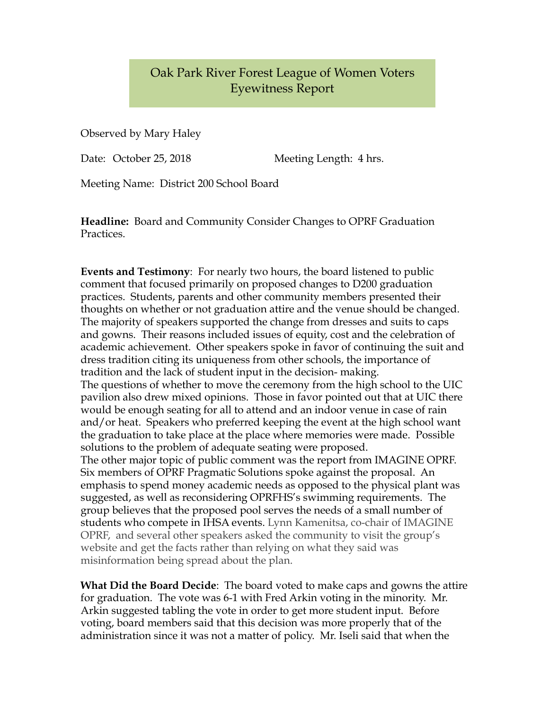## Oak Park River Forest League of Women Voters Eyewitness Report

Observed by Mary Haley

Date: October 25, 2018 Meeting Length: 4 hrs.

Meeting Name: District 200 School Board

**Headline:** Board and Community Consider Changes to OPRF Graduation Practices.

**Events and Testimony**: For nearly two hours, the board listened to public comment that focused primarily on proposed changes to D200 graduation practices. Students, parents and other community members presented their thoughts on whether or not graduation attire and the venue should be changed. The majority of speakers supported the change from dresses and suits to caps and gowns. Their reasons included issues of equity, cost and the celebration of academic achievement. Other speakers spoke in favor of continuing the suit and dress tradition citing its uniqueness from other schools, the importance of tradition and the lack of student input in the decision- making. The questions of whether to move the ceremony from the high school to the UIC pavilion also drew mixed opinions. Those in favor pointed out that at UIC there would be enough seating for all to attend and an indoor venue in case of rain and/or heat. Speakers who preferred keeping the event at the high school want the graduation to take place at the place where memories were made. Possible solutions to the problem of adequate seating were proposed. The other major topic of public comment was the report from IMAGINE OPRF. Six members of OPRF Pragmatic Solutions spoke against the proposal. An emphasis to spend money academic needs as opposed to the physical plant was suggested, as well as reconsidering OPRFHS's swimming requirements. The group believes that the proposed pool serves the needs of a small number of students who compete in IHSA events. Lynn Kamenitsa, co-chair of IMAGINE OPRF, and several other speakers asked the community to visit the group's website and get the facts rather than relying on what they said was misinformation being spread about the plan.

**What Did the Board Decide**: The board voted to make caps and gowns the attire for graduation. The vote was 6-1 with Fred Arkin voting in the minority. Mr. Arkin suggested tabling the vote in order to get more student input. Before voting, board members said that this decision was more properly that of the administration since it was not a matter of policy. Mr. Iseli said that when the